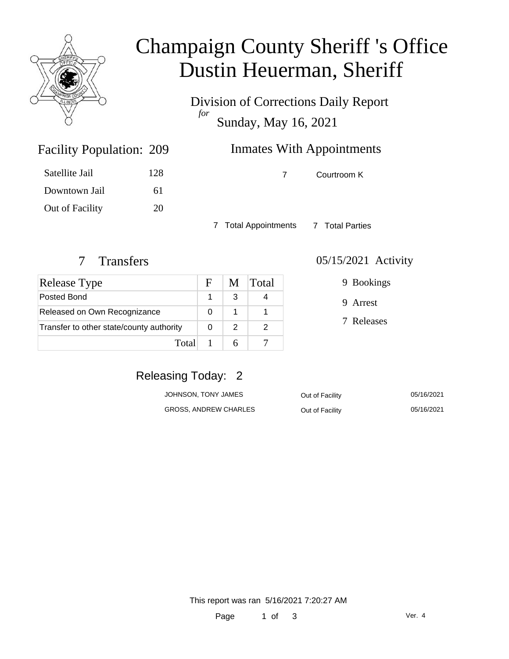

# Champaign County Sheriff 's Office Dustin Heuerman, Sheriff

Division of Corrections Daily Report *for* Sunday, May 16, 2021

# Inmates With Appointments

| Satellite Jail | 128 |
|----------------|-----|
| Downtown Jail  | 61  |

Out of Facility 20

Facility Population: 209

7 Courtroom K

7 Total Appointments 7 Total Parties

| <b>Release Type</b>                      | F | M | Total |
|------------------------------------------|---|---|-------|
| Posted Bond                              |   |   |       |
| Released on Own Recognizance             |   |   |       |
| Transfer to other state/county authority |   | 2 |       |
| Total                                    |   |   |       |

#### 7 Transfers 05/15/2021 Activity

9 Bookings

9 Arrest

7 Releases

### Releasing Today: 2

| JOHNSON, TONY JAMES   | Out of Facility | 05/16/2021 |
|-----------------------|-----------------|------------|
| GROSS, ANDREW CHARLES | Out of Facility | 05/16/2021 |

This report was ran 5/16/2021 7:20:27 AM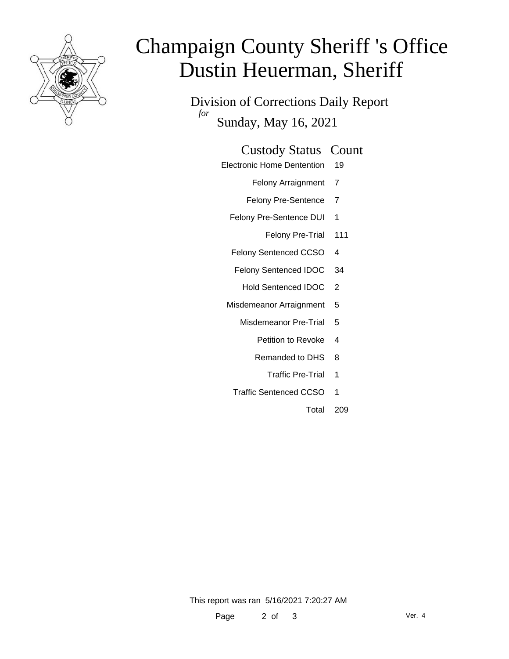

# Champaign County Sheriff 's Office Dustin Heuerman, Sheriff

Division of Corrections Daily Report *for* Sunday, May 16, 2021

#### Custody Status Count

Electronic Home Dentention 19

Felony Arraignment 7

- Felony Pre-Sentence 7
- Felony Pre-Sentence DUI 1
	- Felony Pre-Trial 111
- Felony Sentenced CCSO 4
- Felony Sentenced IDOC 34
	- Hold Sentenced IDOC 2
- Misdemeanor Arraignment 5
	- Misdemeanor Pre-Trial 5
		- Petition to Revoke 4
		- Remanded to DHS 8
			- Traffic Pre-Trial 1
	- Traffic Sentenced CCSO 1
		- Total 209

This report was ran 5/16/2021 7:20:27 AM